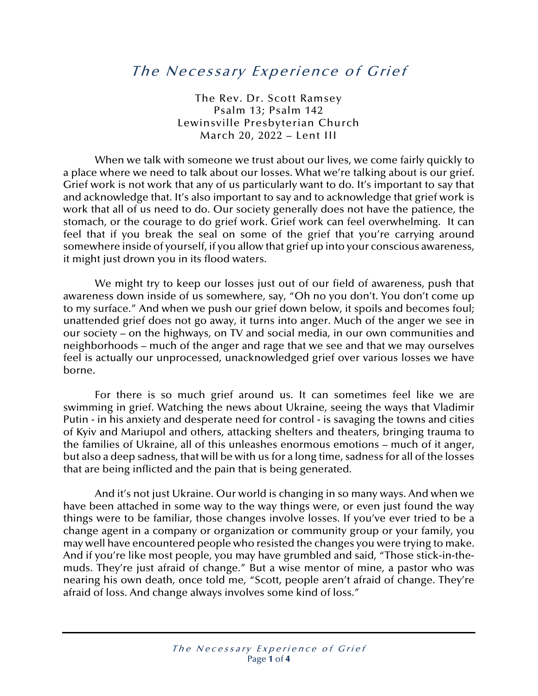## The Necessary Experience of Grief

The Rev. Dr. Scott Ramsey Psalm 13; Psalm 142 Lewinsville Presbyterian Church March 20, 2022 – Lent III

When we talk with someone we trust about our lives, we come fairly quickly to a place where we need to talk about our losses. What we're talking about is our grief. Grief work is not work that any of us particularly want to do. It's important to say that and acknowledge that. It's also important to say and to acknowledge that grief work is work that all of us need to do. Our society generally does not have the patience, the stomach, or the courage to do grief work. Grief work can feel overwhelming. It can feel that if you break the seal on some of the grief that you're carrying around somewhere inside of yourself, if you allow that grief up into your conscious awareness, it might just drown you in its flood waters.

We might try to keep our losses just out of our field of awareness, push that awareness down inside of us somewhere, say, "Oh no you don't. You don't come up to my surface." And when we push our grief down below, it spoils and becomes foul; unattended grief does not go away, it turns into anger. Much of the anger we see in our society – on the highways, on TV and social media, in our own communities and neighborhoods – much of the anger and rage that we see and that we may ourselves feel is actually our unprocessed, unacknowledged grief over various losses we have borne.

For there is so much grief around us. It can sometimes feel like we are swimming in grief. Watching the news about Ukraine, seeing the ways that Vladimir Putin - in his anxiety and desperate need for control - is savaging the towns and cities of Kyiv and Mariupol and others, attacking shelters and theaters, bringing trauma to the families of Ukraine, all of this unleashes enormous emotions – much of it anger, but also a deep sadness, that will be with us for a long time, sadness for all of the losses that are being inflicted and the pain that is being generated.

And it's not just Ukraine. Our world is changing in so many ways. And when we have been attached in some way to the way things were, or even just found the way things were to be familiar, those changes involve losses. If you've ever tried to be a change agent in a company or organization or community group or your family, you may well have encountered people who resisted the changes you were trying to make. And if you're like most people, you may have grumbled and said, "Those stick-in-themuds. They're just afraid of change." But a wise mentor of mine, a pastor who was nearing his own death, once told me, "Scott, people aren't afraid of change. They're afraid of loss. And change always involves some kind of loss."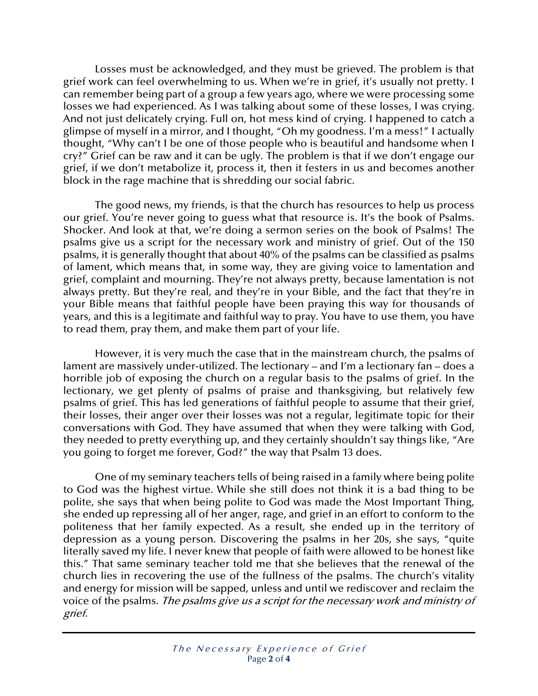Losses must be acknowledged, and they must be grieved. The problem is that grief work can feel overwhelming to us. When we're in grief, it's usually not pretty. I can remember being part of a group a few years ago, where we were processing some losses we had experienced. As I was talking about some of these losses, I was crying. And not just delicately crying. Full on, hot mess kind of crying. I happened to catch a glimpse of myself in a mirror, and I thought, "Oh my goodness. I'm a mess!" I actually thought, "Why can't I be one of those people who is beautiful and handsome when I cry?" Grief can be raw and it can be ugly. The problem is that if we don't engage our grief, if we don't metabolize it, process it, then it festers in us and becomes another block in the rage machine that is shredding our social fabric.

The good news, my friends, is that the church has resources to help us process our grief. You're never going to guess what that resource is. It's the book of Psalms. Shocker. And look at that, we're doing a sermon series on the book of Psalms! The psalms give us a script for the necessary work and ministry of grief. Out of the 150 psalms, it is generally thought that about 40% of the psalms can be classified as psalms of lament, which means that, in some way, they are giving voice to lamentation and grief, complaint and mourning. They're not always pretty, because lamentation is not always pretty. But they're real, and they're in your Bible, and the fact that they're in your Bible means that faithful people have been praying this way for thousands of years, and this is a legitimate and faithful way to pray. You have to use them, you have to read them, pray them, and make them part of your life.

However, it is very much the case that in the mainstream church, the psalms of lament are massively under-utilized. The lectionary – and I'm a lectionary fan – does a horrible job of exposing the church on a regular basis to the psalms of grief. In the lectionary, we get plenty of psalms of praise and thanksgiving, but relatively few psalms of grief. This has led generations of faithful people to assume that their grief, their losses, their anger over their losses was not a regular, legitimate topic for their conversations with God. They have assumed that when they were talking with God, they needed to pretty everything up, and they certainly shouldn't say things like, "Are you going to forget me forever, God?" the way that Psalm 13 does.

One of my seminary teachers tells of being raised in a family where being polite to God was the highest virtue. While she still does not think it is a bad thing to be polite, she says that when being polite to God was made the Most Important Thing, she ended up repressing all of her anger, rage, and grief in an effort to conform to the politeness that her family expected. As a result, she ended up in the territory of depression as a young person. Discovering the psalms in her 20s, she says, "quite literally saved my life. I never knew that people of faith were allowed to be honest like this." That same seminary teacher told me that she believes that the renewal of the church lies in recovering the use of the fullness of the psalms. The church's vitality and energy for mission will be sapped, unless and until we rediscover and reclaim the voice of the psalms. The psalms give us a script for the necessary work and ministry of grief.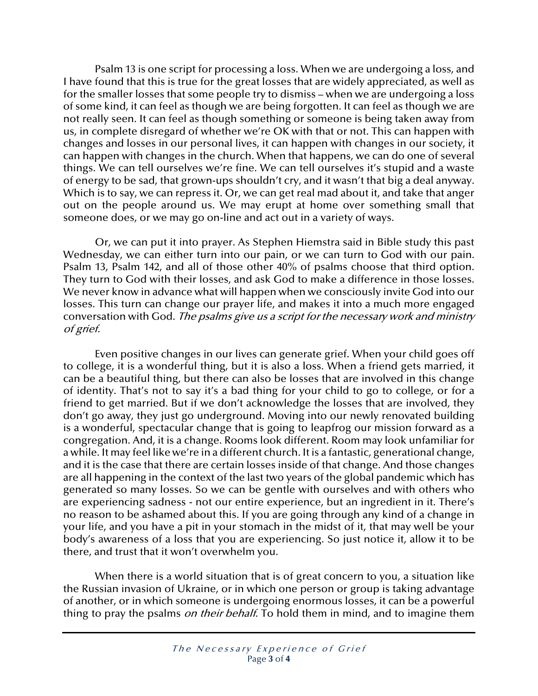Psalm 13 is one script for processing a loss. When we are undergoing a loss, and I have found that this is true for the great losses that are widely appreciated, as well as for the smaller losses that some people try to dismiss – when we are undergoing a loss of some kind, it can feel as though we are being forgotten. It can feel as though we are not really seen. It can feel as though something or someone is being taken away from us, in complete disregard of whether we're OK with that or not. This can happen with changes and losses in our personal lives, it can happen with changes in our society, it can happen with changes in the church. When that happens, we can do one of several things. We can tell ourselves we're fine. We can tell ourselves it's stupid and a waste of energy to be sad, that grown-ups shouldn't cry, and it wasn't that big a deal anyway. Which is to say, we can repress it. Or, we can get real mad about it, and take that anger out on the people around us. We may erupt at home over something small that someone does, or we may go on-line and act out in a variety of ways.

Or, we can put it into prayer. As Stephen Hiemstra said in Bible study this past Wednesday, we can either turn into our pain, or we can turn to God with our pain. Psalm 13, Psalm 142, and all of those other 40% of psalms choose that third option. They turn to God with their losses, and ask God to make a difference in those losses. We never know in advance what will happen when we consciously invite God into our losses. This turn can change our prayer life, and makes it into a much more engaged conversation with God. The psalms give us a script for the necessary work and ministry of grief.

Even positive changes in our lives can generate grief. When your child goes off to college, it is a wonderful thing, but it is also a loss. When a friend gets married, it can be a beautiful thing, but there can also be losses that are involved in this change of identity. That's not to say it's a bad thing for your child to go to college, or for a friend to get married. But if we don't acknowledge the losses that are involved, they don't go away, they just go underground. Moving into our newly renovated building is a wonderful, spectacular change that is going to leapfrog our mission forward as a congregation. And, it is a change. Rooms look different. Room may look unfamiliar for a while. It may feel like we're in a different church. It is a fantastic, generational change, and it is the case that there are certain losses inside of that change. And those changes are all happening in the context of the last two years of the global pandemic which has generated so many losses. So we can be gentle with ourselves and with others who are experiencing sadness - not our entire experience, but an ingredient in it. There's no reason to be ashamed about this. If you are going through any kind of a change in your life, and you have a pit in your stomach in the midst of it, that may well be your body's awareness of a loss that you are experiencing. So just notice it, allow it to be there, and trust that it won't overwhelm you.

When there is a world situation that is of great concern to you, a situation like the Russian invasion of Ukraine, or in which one person or group is taking advantage of another, or in which someone is undergoing enormous losses, it can be a powerful thing to pray the psalms *on their behalf*. To hold them in mind, and to imagine them